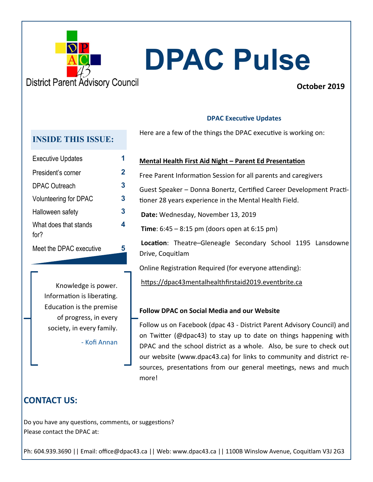

# **DPAC Pulse**

**October 2019**

#### **DPAC Executive Updates**

Here are a few of the things the DPAC executive is working on:

#### **INSIDE THIS ISSUE:**

| <b>Executive Updates</b>              |   |
|---------------------------------------|---|
| President's corner                    | 2 |
| <b>DPAC Outreach</b>                  | 3 |
| <b>Volunteering for DPAC</b>          | 3 |
| Halloween safety                      | 3 |
| What does that stands<br>for $\gamma$ | 4 |
| Meet the DPAC executive               | 5 |

#### **Mental Health First Aid Night – Parent Ed Presentation**

Free Parent Information Session for all parents and caregivers

Guest Speaker – Donna Bonertz, Certified Career Development Practitioner 28 years experience in the Mental Health Field.

- **Date:** Wednesday, November 13, 2019
- **Time**: 6:45 8:15 pm (doors open at 6:15 pm)

**Location**: Theatre–Gleneagle Secondary School 1195 Lansdowne Drive, Coquitlam

Online Registration Required (for everyone attending):

https://dpac43mentalhealthfirstaid2019.eventbrite.ca

#### **Follow DPAC on Social Media and our Website**

Follow us on Facebook (dpac 43 - District Parent Advisory Council) and on Twitter (@dpac43) to stay up to date on things happening with DPAC and the school district as a whole. Also, be sure to check out our website (www.dpac43.ca) for links to community and district resources, presentations from our general meetings, news and much more!

### **CONTACT US:**

Do you have any questions, comments, or suggestions? Please contact the DPAC at:

Ph: 604.939.3690 || Email: office@dpac43.ca || Web: www.dpac43.ca || 1100B Winslow Avenue, Coquitlam V3J 2G3

Knowledge is power. Information is liberating. Education is the premise of progress, in every society, in every family.

- Kofi Annan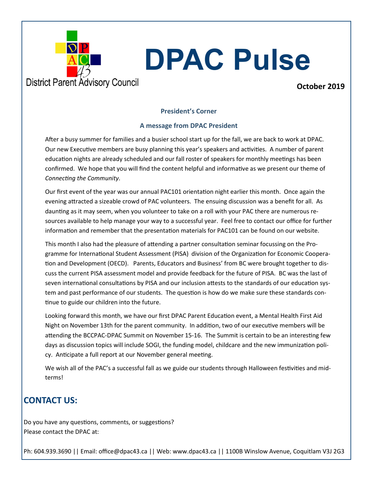

## **DPAC Pulse**

**October 2019**

#### **President's Corner**

#### **A message from DPAC President**

After a busy summer for families and a busier school start up for the fall, we are back to work at DPAC. Our new Executive members are busy planning this year's speakers and activities. A number of parent education nights are already scheduled and our fall roster of speakers for monthly meetings has been confirmed. We hope that you will find the content helpful and informative as we present our theme of *Connecting the Community*.

Our first event of the year was our annual PAC101 orientation night earlier this month. Once again the evening attracted a sizeable crowd of PAC volunteers. The ensuing discussion was a benefit for all. As daunting as it may seem, when you volunteer to take on a roll with your PAC there are numerous resources available to help manage your way to a successful year. Feel free to contact our office for further information and remember that the presentation materials for PAC101 can be found on our website.

This month I also had the pleasure of attending a partner consultation seminar focussing on the Programme for International Student Assessment (PISA) division of the Organization for Economic Cooperation and Development (OECD). Parents, Educators and Business' from BC were brought together to discuss the current PISA assessment model and provide feedback for the future of PISA. BC was the last of seven international consultations by PISA and our inclusion attests to the standards of our education system and past performance of our students. The question is how do we make sure these standards continue to guide our children into the future.

Looking forward this month, we have our first DPAC Parent Education event, a Mental Health First Aid Night on November 13th for the parent community. In addition, two of our executive members will be attending the BCCPAC-DPAC Summit on November 15-16. The Summit is certain to be an interesting few days as discussion topics will include SOGI, the funding model, childcare and the new immunization policy. Anticipate a full report at our November general meeting.

We wish all of the PAC's a successful fall as we guide our students through Halloween festivities and midterms!

### **CONTACT US:**

Do you have any questions, comments, or suggestions? Please contact the DPAC at:

Ph: 604.939.3690 || Email: office@dpac43.ca || Web: www.dpac43.ca || 1100B Winslow Avenue, Coquitlam V3J 2G3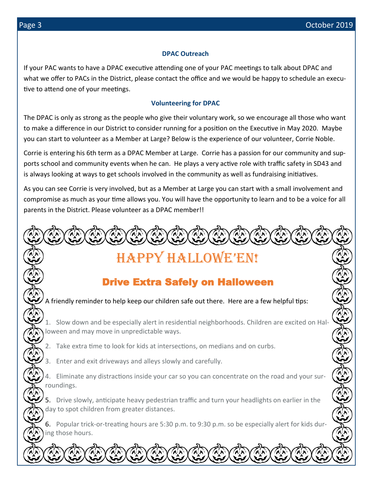#### **DPAC Outreach**

If your PAC wants to have a DPAC executive attending one of your PAC meetings to talk about DPAC and what we offer to PACs in the District, please contact the office and we would be happy to schedule an executive to attend one of your meetings.

#### **Volunteering for DPAC**

The DPAC is only as strong as the people who give their voluntary work, so we encourage all those who want to make a difference in our District to consider running for a position on the Executive in May 2020. Maybe you can start to volunteer as a Member at Large? Below is the experience of our volunteer, Corrie Noble.

Corrie is entering his 6th term as a DPAC Member at Large. Corrie has a passion for our community and supports school and community events when he can. He plays a very active role with traffic safety in SD43 and is always looking at ways to get schools involved in the community as well as fundraising initiatives.

As you can see Corrie is very involved, but as a Member at Large you can start with a small involvement and compromise as much as your time allows you. You will have the opportunity to learn and to be a voice for all parents in the District. Please volunteer as a DPAC member!!

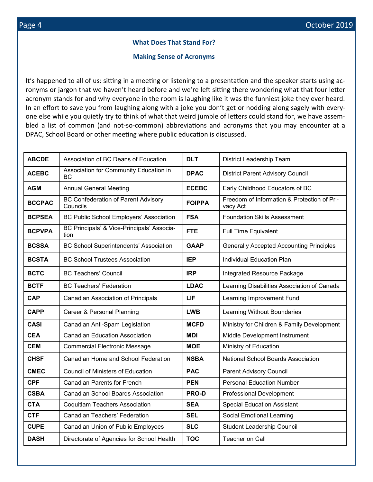#### **What Does That Stand For?**

#### **Making Sense of Acronyms**

It's happened to all of us: sitting in a meeting or listening to a presentation and the speaker starts using acronyms or jargon that we haven't heard before and we're left sitting there wondering what that four letter acronym stands for and why everyone in the room is laughing like it was the funniest joke they ever heard. In an effort to save you from laughing along with a joke you don't get or nodding along sagely with everyone else while you quietly try to think of what that weird jumble of letters could stand for, we have assembled a list of common (and not-so-common) abbreviations and acronyms that you may encounter at a DPAC, School Board or other meeting where public education is discussed.

| <b>ABCDE</b>  | Association of BC Deans of Education                   | <b>DLT</b>    | District Leadership Team                                |  |
|---------------|--------------------------------------------------------|---------------|---------------------------------------------------------|--|
| <b>ACEBC</b>  | Association for Community Education in<br>ВC           | <b>DPAC</b>   | <b>District Parent Advisory Council</b>                 |  |
| <b>AGM</b>    | <b>Annual General Meeting</b>                          | <b>ECEBC</b>  | Early Childhood Educators of BC                         |  |
| <b>BCCPAC</b> | <b>BC Confederation of Parent Advisory</b><br>Councils | <b>FOIPPA</b> | Freedom of Information & Protection of Pri-<br>vacy Act |  |
| <b>BCPSEA</b> | <b>BC Public School Employers' Association</b>         | <b>FSA</b>    | <b>Foundation Skills Assessment</b>                     |  |
| <b>BCPVPA</b> | BC Principals' & Vice-Principals' Associa-<br>tion     | <b>FTE</b>    | <b>Full Time Equivalent</b>                             |  |
| <b>BCSSA</b>  | <b>BC School Superintendents' Association</b>          | <b>GAAP</b>   | <b>Generally Accepted Accounting Principles</b>         |  |
| <b>BCSTA</b>  | <b>BC School Trustees Association</b>                  | <b>IEP</b>    | Individual Education Plan                               |  |
| <b>BCTC</b>   | <b>BC Teachers' Council</b>                            | <b>IRP</b>    | Integrated Resource Package                             |  |
| <b>BCTF</b>   | <b>BC Teachers' Federation</b>                         | <b>LDAC</b>   | Learning Disabilities Association of Canada             |  |
| <b>CAP</b>    | Canadian Association of Principals                     | LIF           | Learning Improvement Fund                               |  |
| <b>CAPP</b>   | Career & Personal Planning                             | <b>LWB</b>    | Learning Without Boundaries                             |  |
| <b>CASI</b>   | Canadian Anti-Spam Legislation                         | <b>MCFD</b>   | Ministry for Children & Family Development              |  |
| <b>CEA</b>    | <b>Canadian Education Association</b>                  | <b>MDI</b>    | Middle Development Instrument                           |  |
| <b>CEM</b>    | Commercial Electronic Message                          | <b>MOE</b>    | Ministry of Education                                   |  |
| <b>CHSF</b>   | Canadian Home and School Federation                    | <b>NSBA</b>   | National School Boards Association                      |  |
| <b>CMEC</b>   | <b>Council of Ministers of Education</b>               | <b>PAC</b>    | <b>Parent Advisory Council</b>                          |  |
| <b>CPF</b>    | <b>Canadian Parents for French</b>                     | <b>PEN</b>    | <b>Personal Education Number</b>                        |  |
| <b>CSBA</b>   | <b>Canadian School Boards Association</b>              | <b>PRO-D</b>  | <b>Professional Development</b>                         |  |
| <b>CTA</b>    | <b>Coquitlam Teachers Association</b>                  | <b>SEA</b>    | <b>Special Education Assistant</b>                      |  |
| <b>CTF</b>    | Canadian Teachers' Federation                          | <b>SEL</b>    | Social Emotional Learning                               |  |
| <b>CUPE</b>   | <b>Canadian Union of Public Employees</b>              | <b>SLC</b>    | <b>Student Leadership Council</b>                       |  |
| <b>DASH</b>   | Directorate of Agencies for School Health              | <b>TOC</b>    | Teacher on Call                                         |  |